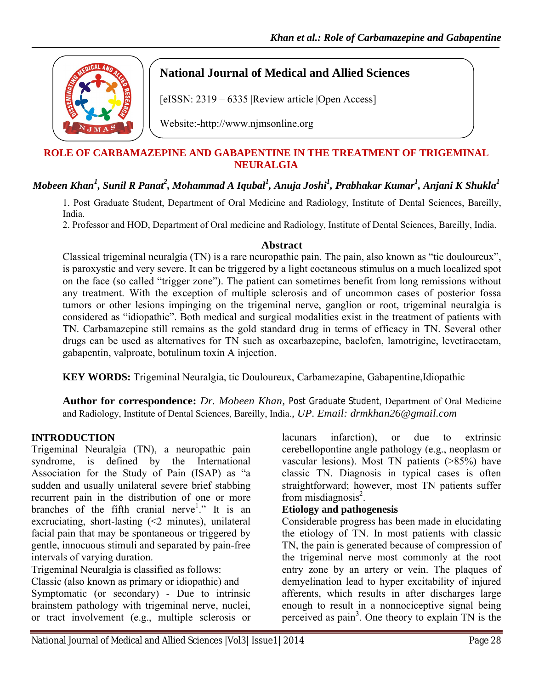

# **National Journal of Medical and Allied Sciences**

[eISSN: 2319 – 6335 |Review article |Open Access]

Website:-http://www.njmsonline.org

### **ROLE OF CARBAMAZEPINE AND GABAPENTINE IN THE TREATMENT OF TRIGEMINAL NEURALGIA**

# $\bm{M}$ obeen Khan $^{\mathit{l}}$ , Sunil R Panat $^{\mathit{2}}$ , Mohammad A Iqubal $^{\mathit{l}}$ , Anuja Joshi $^{\mathit{l}}$ , Prabhakar Kumar $^{\mathit{l}}$ , Anjani K Shukla $^{\mathit{l}}$

1. Post Graduate Student, Department of Oral Medicine and Radiology, Institute of Dental Sciences, Bareilly, India.

2. Professor and HOD, Department of Oral medicine and Radiology, Institute of Dental Sciences, Bareilly, India.

#### **Abstract**

Classical trigeminal neuralgia (TN) is a rare neuropathic pain. The pain, also known as "tic douloureux", is paroxystic and very severe. It can be triggered by a light coetaneous stimulus on a much localized spot on the face (so called "trigger zone"). The patient can sometimes benefit from long remissions without any treatment. With the exception of multiple sclerosis and of uncommon cases of posterior fossa tumors or other lesions impinging on the trigeminal nerve, ganglion or root, trigeminal neuralgia is considered as "idiopathic". Both medical and surgical modalities exist in the treatment of patients with TN. Carbamazepine still remains as the gold standard drug in terms of efficacy in TN. Several other drugs can be used as alternatives for TN such as oxcarbazepine, baclofen, lamotrigine, levetiracetam, gabapentin, valproate, botulinum toxin A injection.

 **KEY WORDS:** Trigeminal Neuralgia, tic Douloureux, Carbamezapine, Gabapentine,Idiopathic

**Author for correspondence:** *Dr. Mobeen Khan,* Post Graduate Student, Department of Oral Medicine and Radiology, Institute of Dental Sciences, Bareilly, India.*, UP. Email: drmkhan26@gmail.com*

#### **INTRODUCTION**

Trigeminal Neuralgia (TN), a neuropathic pain syndrome, is defined by the International Association for the Study of Pain (ISAP) as "a sudden and usually unilateral severe brief stabbing recurrent pain in the distribution of one or more branches of the fifth cranial nerve<sup>1</sup>." It is an excruciating, short-lasting  $\leq 2$  minutes), unilateral facial pain that may be spontaneous or triggered by gentle, innocuous stimuli and separated by pain-free intervals of varying duration.

Trigeminal Neuralgia is classified as follows:

Classic (also known as primary or idiopathic) and Symptomatic (or secondary) - Due to intrinsic brainstem pathology with trigeminal nerve, nuclei, or tract involvement (e.g., multiple sclerosis or

lacunars infarction), or due to extrinsic cerebellopontine angle pathology (e.g., neoplasm or vascular lesions). Most TN patients (>85%) have classic TN. Diagnosis in typical cases is often straightforward; however, most TN patients suffer from misdiagnosis $2$ .

### **Etiology and pathogenesis**

Considerable progress has been made in elucidating the etiology of TN. In most patients with classic TN, the pain is generated because of compression of the trigeminal nerve most commonly at the root entry zone by an artery or vein. The plaques of demyelination lead to hyper excitability of injured afferents, which results in after discharges large enough to result in a nonnociceptive signal being perceived as pain<sup>3</sup>. One theory to explain TN is the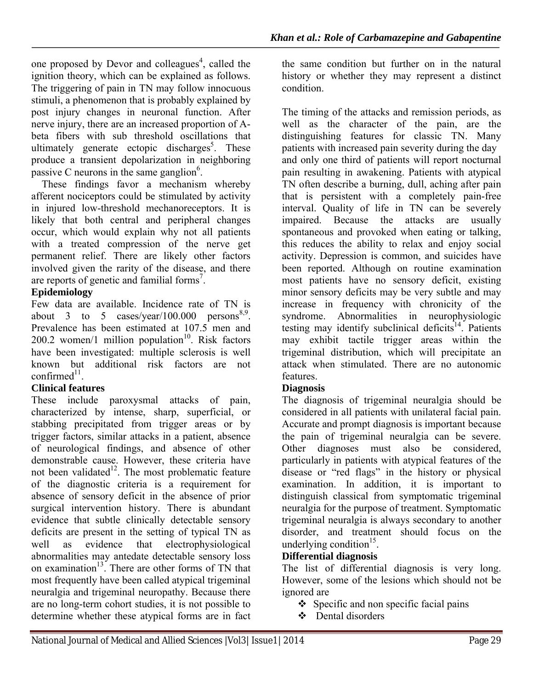one proposed by Devor and colleagues<sup>4</sup>, called the ignition theory, which can be explained as follows. The triggering of pain in TN may follow innocuous stimuli, a phenomenon that is probably explained by post injury changes in neuronal function. After nerve injury, there are an increased proportion of Abeta fibers with sub threshold oscillations that ultimately generate ectopic discharges<sup>5</sup>. These produce a transient depolarization in neighboring passive C neurons in the same ganglion $6$ .

 These findings favor a mechanism whereby afferent nociceptors could be stimulated by activity in injured low-threshold mechanoreceptors. It is likely that both central and peripheral changes occur, which would explain why not all patients with a treated compression of the nerve get permanent relief. There are likely other factors involved given the rarity of the disease, and there are reports of genetic and familial forms<sup>7</sup>.

## **Epidemiology**

Few data are available. Incidence rate of TN is about 3 to 5 cases/year/100.000 persons<sup>8,9</sup>. Prevalence has been estimated at 107.5 men and  $200.2$  women/1 million population<sup>10</sup>. Risk factors have been investigated: multiple sclerosis is well known but additional risk factors are not  $confirmed<sup>11</sup>$ .

## **Clinical features**

These include paroxysmal attacks of pain, characterized by intense, sharp, superficial, or stabbing precipitated from trigger areas or by trigger factors, similar attacks in a patient, absence of neurological findings, and absence of other demonstrable cause. However, these criteria have not been validated<sup>12</sup>. The most problematic feature of the diagnostic criteria is a requirement for absence of sensory deficit in the absence of prior surgical intervention history. There is abundant evidence that subtle clinically detectable sensory deficits are present in the setting of typical TN as well as evidence that electrophysiological abnormalities may antedate detectable sensory loss on examination $13<sup>3</sup>$ . There are other forms of TN that most frequently have been called atypical trigeminal neuralgia and trigeminal neuropathy. Because there are no long-term cohort studies, it is not possible to determine whether these atypical forms are in fact

the same condition but further on in the natural history or whether they may represent a distinct condition.

The timing of the attacks and remission periods, as well as the character of the pain, are the distinguishing features for classic TN. Many patients with increased pain severity during the day and only one third of patients will report nocturnal pain resulting in awakening. Patients with atypical TN often describe a burning, dull, aching after pain that is persistent with a completely pain-free interval. Quality of life in TN can be severely impaired. Because the attacks are usually spontaneous and provoked when eating or talking, this reduces the ability to relax and enjoy social activity. Depression is common, and suicides have been reported. Although on routine examination most patients have no sensory deficit, existing minor sensory deficits may be very subtle and may increase in frequency with chronicity of the syndrome. Abnormalities in neurophysiologic testing may identify subclinical deficits<sup>14</sup>. Patients may exhibit tactile trigger areas within the trigeminal distribution, which will precipitate an attack when stimulated. There are no autonomic features.

## **Diagnosis**

The diagnosis of trigeminal neuralgia should be considered in all patients with unilateral facial pain. Accurate and prompt diagnosis is important because the pain of trigeminal neuralgia can be severe. Other diagnoses must also be considered, particularly in patients with atypical features of the disease or "red flags" in the history or physical examination. In addition, it is important to distinguish classical from symptomatic trigeminal neuralgia for the purpose of treatment. Symptomatic trigeminal neuralgia is always secondary to another disorder, and treatment should focus on the underlying condition<sup>15</sup>.

### **Differential diagnosis**

The list of differential diagnosis is very long. However, some of the lesions which should not be ignored are

- $\bullet$  Specific and non specific facial pains
- Dental disorders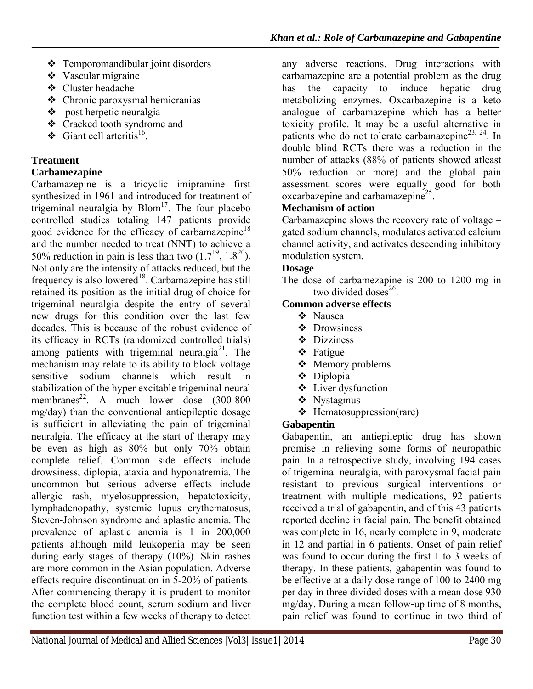- $\div$  Temporomandibular joint disorders
- Vascular migraine
- Cluster headache
- Chronic paroxysmal hemicranias
- $\div$  post herpetic neuralgia
- Cracked tooth syndrome and
- Giant cell arteritis<sup>16</sup>

# **Treatment**

## **Carbamezapine**

Carbamazepine is a tricyclic imipramine first synthesized in 1961 and introduced for treatment of trigeminal neuralgia by  $Blom<sup>17</sup>$ . The four placebo controlled studies totaling 147 patients provide good evidence for the efficacy of carbamazepine<sup>18</sup> and the number needed to treat (NNT) to achieve a 50% reduction in pain is less than two  $(1.7^{19}, 1.8^{20})$ . Not only are the intensity of attacks reduced, but the frequency is also lowered<sup>18</sup>. Carbamazepine has still retained its position as the initial drug of choice for trigeminal neuralgia despite the entry of several new drugs for this condition over the last few decades. This is because of the robust evidence of its efficacy in RCTs (randomized controlled trials) among patients with trigeminal neuralgia<sup>21</sup>. The mechanism may relate to its ability to block voltage sensitive sodium channels which result in stabilization of the hyper excitable trigeminal neural membranes<sup>22</sup>. A much lower dose  $(300-800)$ mg/day) than the conventional antiepileptic dosage is sufficient in alleviating the pain of trigeminal neuralgia. The efficacy at the start of therapy may be even as high as 80% but only 70% obtain complete relief. Common side effects include drowsiness, diplopia, ataxia and hyponatremia. The uncommon but serious adverse effects include allergic rash, myelosuppression, hepatotoxicity, lymphadenopathy, systemic lupus erythematosus, Steven-Johnson syndrome and aplastic anemia. The prevalence of aplastic anemia is 1 in 200,000 patients although mild leukopenia may be seen during early stages of therapy (10%). Skin rashes are more common in the Asian population. Adverse effects require discontinuation in 5-20% of patients. After commencing therapy it is prudent to monitor the complete blood count, serum sodium and liver function test within a few weeks of therapy to detect any adverse reactions. Drug interactions with carbamazepine are a potential problem as the drug has the capacity to induce hepatic drug metabolizing enzymes. Oxcarbazepine is a keto analogue of carbamazepine which has a better toxicity profile. It may be a useful alternative in patients who do not tolerate carbamazepine<sup>23, 24</sup>. In double blind RCTs there was a reduction in the number of attacks (88% of patients showed atleast 50% reduction or more) and the global pain assessment scores were equally good for both oxcarbazepine and carbamazepine<sup>25</sup>.

### **Mechanism of action**

Carbamazepine slows the recovery rate of voltage – gated sodium channels, modulates activated calcium channel activity, and activates descending inhibitory modulation system.

## **Dosage**

The dose of carbamezapine is 200 to 1200 mg in two divided doses $26$ .

# **Common adverse effects**

- Nausea
- ❖ Drowsiness
- Dizziness
- Fatigue
- ❖ Memory problems
- Diplopia
- Liver dysfunction
- ❖ Nystagmus
- $\triangleleft$  Hematosuppression(rare)

# **Gabapentin**

Gabapentin, an antiepileptic drug has shown promise in relieving some forms of neuropathic pain. In a retrospective study, involving 194 cases of trigeminal neuralgia, with paroxysmal facial pain resistant to previous surgical interventions or treatment with multiple medications, 92 patients received a trial of gabapentin, and of this 43 patients reported decline in facial pain. The benefit obtained was complete in 16, nearly complete in 9, moderate in 12 and partial in 6 patients. Onset of pain relief was found to occur during the first 1 to 3 weeks of therapy. In these patients, gabapentin was found to be effective at a daily dose range of 100 to 2400 mg per day in three divided doses with a mean dose 930 mg/day. During a mean follow-up time of 8 months, pain relief was found to continue in two third of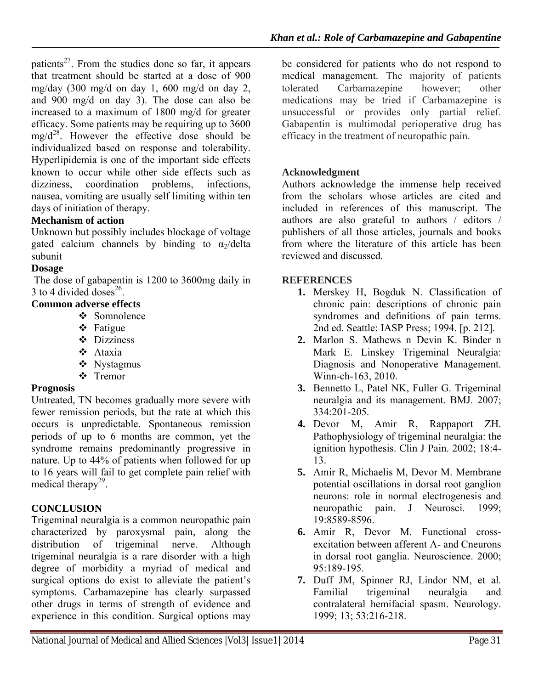patients<sup>27</sup>. From the studies done so far, it appears that treatment should be started at a dose of 900 mg/day  $(300 \text{ mg/d} \text{ on day } 1, 600 \text{ mg/d} \text{ on day } 2,$ and 900 mg/d on day 3). The dose can also be increased to a maximum of 1800 mg/d for greater efficacy. Some patients may be requiring up to 3600  $mg/d^{28}$ . However the effective dose should be individualized based on response and tolerability. Hyperlipidemia is one of the important side effects known to occur while other side effects such as dizziness, coordination problems, infections, nausea, vomiting are usually self limiting within ten days of initiation of therapy.

# **Mechanism of action**

Unknown but possibly includes blockage of voltage gated calcium channels by binding to  $\alpha_2$ /delta subunit

#### **Dosage**

The dose of gabapentin is 1200 to 3600mg daily in 3 to 4 divided doses<sup>26</sup>.

### **Common adverse effects**

- ❖ Somnolence
- **❖** Fatigue
- Dizziness
- Ataxia
- Nystagmus
- Tremor

#### **Prognosis**

Untreated, TN becomes gradually more severe with fewer remission periods, but the rate at which this occurs is unpredictable. Spontaneous remission periods of up to 6 months are common, yet the syndrome remains predominantly progressive in nature. Up to 44% of patients when followed for up to 16 years will fail to get complete pain relief with medical therapy<sup>29</sup>.

### **CONCLUSION**

Trigeminal neuralgia is a common neuropathic pain characterized by paroxysmal pain, along the distribution of trigeminal nerve. Although trigeminal neuralgia is a rare disorder with a high degree of morbidity a myriad of medical and surgical options do exist to alleviate the patient's symptoms. Carbamazepine has clearly surpassed other drugs in terms of strength of evidence and experience in this condition. Surgical options may

be considered for patients who do not respond to medical management. The majority of patients tolerated Carbamazepine however; other medications may be tried if Carbamazepine is unsuccessful or provides only partial relief. Gabapentin is multimodal perioperative drug has efficacy in the treatment of neuropathic pain.

### **Acknowledgment**

Authors acknowledge the immense help received from the scholars whose articles are cited and included in references of this manuscript. The authors are also grateful to authors / editors / publishers of all those articles, journals and books from where the literature of this article has been reviewed and discussed.

#### **REFERENCES**

- **1.** Merskey H, Bogduk N. Classification of chronic pain: descriptions of chronic pain syndromes and definitions of pain terms. 2nd ed. Seattle: IASP Press; 1994. [p. 212].
- **2.** Marlon S. Mathews n Devin K. Binder n Mark E. Linskey Trigeminal Neuralgia: Diagnosis and Nonoperative Management. Winn-ch-163, 2010.
- **3.** Bennetto L, Patel NK, Fuller G. Trigeminal neuralgia and its management. BMJ. 2007; 334:201-205.
- **4.** Devor M, Amir R, Rappaport ZH. Pathophysiology of trigeminal neuralgia: the ignition hypothesis. Clin J Pain. 2002; 18:4- 13.
- **5.** Amir R, Michaelis M, Devor M. Membrane potential oscillations in dorsal root ganglion neurons: role in normal electrogenesis and neuropathic pain. J Neurosci. 1999; 19:8589-8596.
- **6.** Amir R, Devor M. Functional crossexcitation between afferent A- and Cneurons in dorsal root ganglia. Neuroscience. 2000; 95:189-195.
- **7.** Duff JM, Spinner RJ, Lindor NM, et al. Familial trigeminal neuralgia and contralateral hemifacial spasm. Neurology. 1999; 13; 53:216-218.